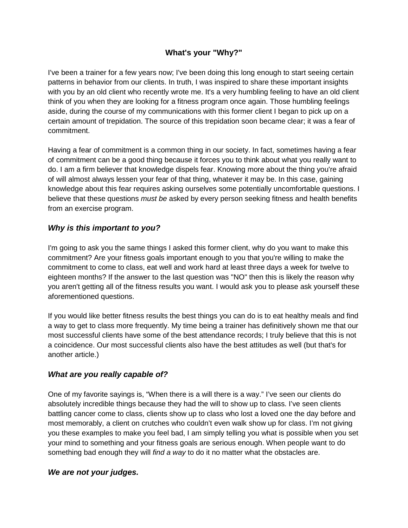# **What's your "Why?"**

I've been a trainer for a few years now; I've been doing this long enough to start seeing certain patterns in behavior from our clients. In truth, I was inspired to share these important insights with you by an old client who recently wrote me. It's a very humbling feeling to have an old client think of you when they are looking for a fitness program once again. Those humbling feelings aside, during the course of my communications with this former client I began to pick up on a certain amount of trepidation. The source of this trepidation soon became clear; it was a fear of commitment.

Having a fear of commitment is a common thing in our society. In fact, sometimes having a fear of commitment can be a good thing because it forces you to think about what you really want to do. I am a firm believer that knowledge dispels fear. Knowing more about the thing you're afraid of will almost always lessen your fear of that thing, whatever it may be. In this case, gaining knowledge about this fear requires asking ourselves some potentially uncomfortable questions. I believe that these questions *must be* asked by every person seeking fitness and health benefits from an exercise program.

## *Why is this important to you?*

I'm going to ask you the same things I asked this former client, why do you want to make this commitment? Are your fitness goals important enough to you that you're willing to make the commitment to come to class, eat well and work hard at least three days a week for twelve to eighteen months? If the answer to the last question was "NO" then this is likely the reason why you aren't getting all of the fitness results you want. I would ask you to please ask yourself these aforementioned questions.

If you would like better fitness results the best things you can do is to eat healthy meals and find a way to get to class more frequently. My time being a trainer has definitively shown me that our most successful clients have some of the best attendance records; I truly believe that this is not a coincidence. Our most successful clients also have the best attitudes as well (but that's for another article.)

### *What are you really capable of?*

One of my favorite sayings is, "When there is a will there is a way." I've seen our clients do absolutely incredible things because they had the will to show up to class. I've seen clients battling cancer come to class, clients show up to class who lost a loved one the day before and most memorably, a client on crutches who couldn't even walk show up for class. I'm not giving you these examples to make you feel bad, I am simply telling you what is possible when you set your mind to something and your fitness goals are serious enough. When people want to do something bad enough they will *find a way* to do it no matter what the obstacles are.

### *We are not your judges.*